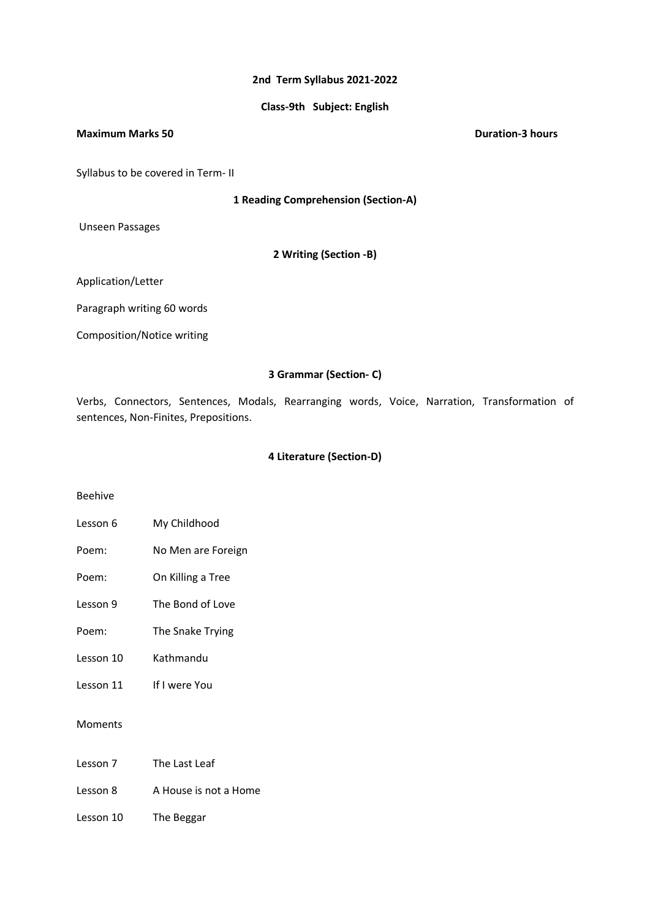## **2nd Term Syllabus 2021-2022**

## **Class-9th Subject: English**

#### **Maximum Marks 50 Duration-3 hours**

Syllabus to be covered in Term- II

**1 Reading Comprehension (Section-A)**

Unseen Passages

**2 Writing (Section -B)**

Application/Letter

Paragraph writing 60 words

Composition/Notice writing

# **3 Grammar (Section- C)**

Verbs, Connectors, Sentences, Modals, Rearranging words, Voice, Narration, Transformation of sentences, Non-Finites, Prepositions.

## **4 Literature (Section-D)**

#### Beehive

- Lesson 6 My Childhood
- Poem: No Men are Foreign
- Poem: On Killing a Tree
- Lesson 9 The Bond of Love
- Poem: The Snake Trying
- Lesson 10 Kathmandu
- Lesson 11 If I were You

Moments

- Lesson 8 A House is not a Home
- Lesson 10 The Beggar